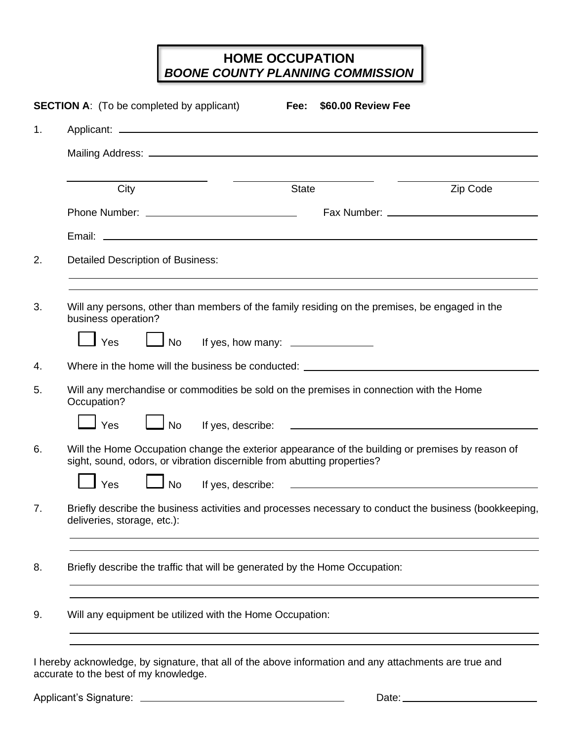## **HOME OCCUPATION** *BOONE COUNTY PLANNING COMMISSION*

| 1. |                                                                                                                                                                             |                                                                                                                                                                                    |          |  |  |  |  |
|----|-----------------------------------------------------------------------------------------------------------------------------------------------------------------------------|------------------------------------------------------------------------------------------------------------------------------------------------------------------------------------|----------|--|--|--|--|
|    |                                                                                                                                                                             |                                                                                                                                                                                    |          |  |  |  |  |
|    | City                                                                                                                                                                        | <b>State</b>                                                                                                                                                                       | Zip Code |  |  |  |  |
|    |                                                                                                                                                                             |                                                                                                                                                                                    |          |  |  |  |  |
|    |                                                                                                                                                                             |                                                                                                                                                                                    |          |  |  |  |  |
| 2. | <b>Detailed Description of Business:</b>                                                                                                                                    |                                                                                                                                                                                    |          |  |  |  |  |
| 3. | business operation?                                                                                                                                                         | ,我们也不会有什么。""我们的人,我们也不会有什么?""我们的人,我们也不会有什么?""我们的人,我们也不会有什么?""我们的人,我们也不会有什么?""我们的人<br>Will any persons, other than members of the family residing on the premises, be engaged in the |          |  |  |  |  |
|    | Yes                                                                                                                                                                         | No If yes, how many: ______________                                                                                                                                                |          |  |  |  |  |
| 4. | Where in the home will the business be conducted: ______________________________                                                                                            |                                                                                                                                                                                    |          |  |  |  |  |
| 5. | Will any merchandise or commodities be sold on the premises in connection with the Home<br>Occupation?                                                                      |                                                                                                                                                                                    |          |  |  |  |  |
|    | l Yes                                                                                                                                                                       | l No                                                                                                                                                                               |          |  |  |  |  |
| 6. | Will the Home Occupation change the exterior appearance of the building or premises by reason of<br>sight, sound, odors, or vibration discernible from abutting properties? |                                                                                                                                                                                    |          |  |  |  |  |
|    | l Yes<br>$\Box$ No                                                                                                                                                          |                                                                                                                                                                                    |          |  |  |  |  |
| 7. | Briefly describe the business activities and processes necessary to conduct the business (bookkeeping,<br>deliveries, storage, etc.):                                       |                                                                                                                                                                                    |          |  |  |  |  |
| 8. | Briefly describe the traffic that will be generated by the Home Occupation:                                                                                                 |                                                                                                                                                                                    |          |  |  |  |  |
|    | Will any equipment be utilized with the Home Occupation:                                                                                                                    |                                                                                                                                                                                    |          |  |  |  |  |

accurate to the best of my knowledge.

Applicant's Signature: Date: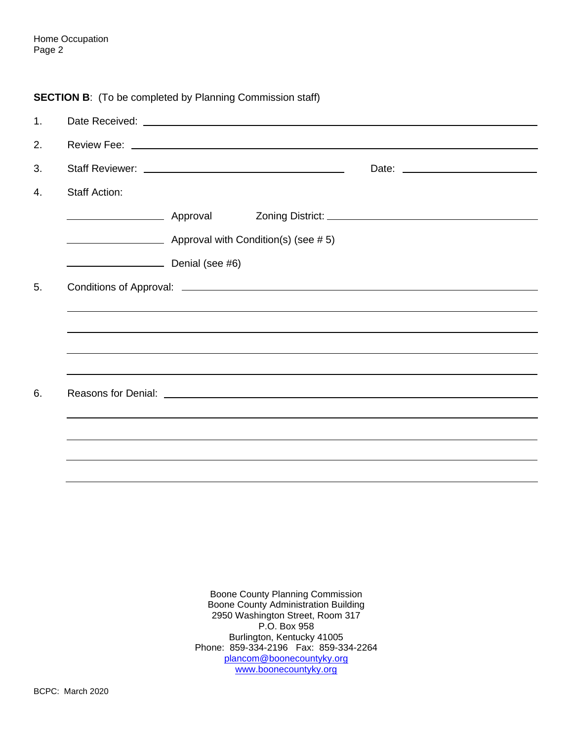| <b>SECTION B:</b> (To be completed by Planning Commission staff) |
|------------------------------------------------------------------|
|------------------------------------------------------------------|

| 1. |                      |                                     |  |                                                                                                                                                                                                                                      |  |
|----|----------------------|-------------------------------------|--|--------------------------------------------------------------------------------------------------------------------------------------------------------------------------------------------------------------------------------------|--|
| 2. |                      |                                     |  |                                                                                                                                                                                                                                      |  |
| 3. |                      |                                     |  |                                                                                                                                                                                                                                      |  |
| 4. | <b>Staff Action:</b> |                                     |  |                                                                                                                                                                                                                                      |  |
|    |                      |                                     |  |                                                                                                                                                                                                                                      |  |
|    |                      | Approval with Condition(s) (see #5) |  |                                                                                                                                                                                                                                      |  |
|    | Denial (see #6)      |                                     |  |                                                                                                                                                                                                                                      |  |
| 5. |                      |                                     |  | Conditions of Approval: <u>contract and contract and contract and contract and contract and contract and contract and contract and contract and contract and contract and contract and contract and contract and contract and co</u> |  |
|    |                      |                                     |  |                                                                                                                                                                                                                                      |  |
|    |                      |                                     |  |                                                                                                                                                                                                                                      |  |
|    |                      |                                     |  |                                                                                                                                                                                                                                      |  |
| 6. |                      |                                     |  |                                                                                                                                                                                                                                      |  |
|    |                      |                                     |  |                                                                                                                                                                                                                                      |  |
|    |                      |                                     |  |                                                                                                                                                                                                                                      |  |
|    |                      |                                     |  |                                                                                                                                                                                                                                      |  |
|    |                      |                                     |  |                                                                                                                                                                                                                                      |  |

Boone County Planning Commission Boone County Administration Building 2950 Washington Street, Room 317 P.O. Box 958 Burlington, Kentucky 41005 Phone: 859-334-2196 Fax: 859-334-2264 [plancom@boonecountyky.org](mailto:plancom@boonecountyky.org) [www.boonecountyky.org](http://www.boonecountyky.org/)